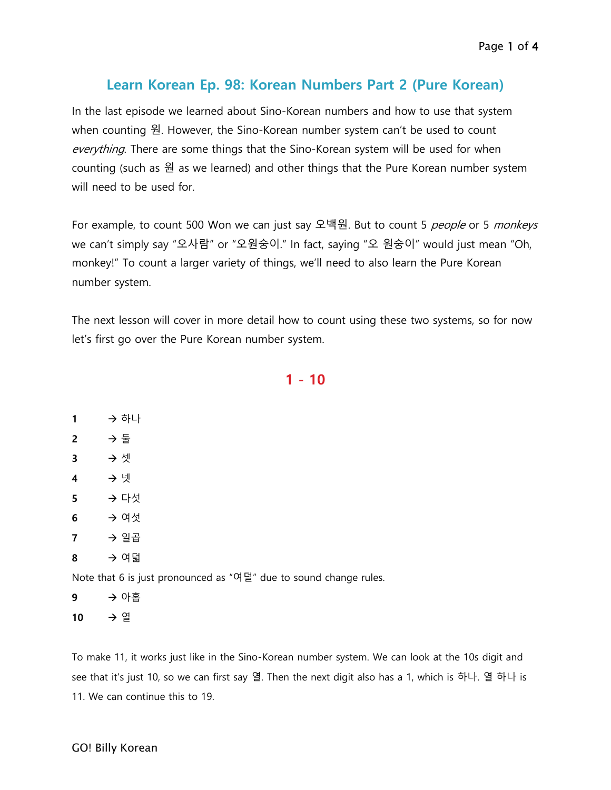## **Learn Korean Ep. 98: Korean Numbers Part 2 (Pure Korean)**

In the last episode we learned about Sino-Korean numbers and how to use that system when counting 원. However, the Sino-Korean number system can't be used to count everything. There are some things that the Sino-Korean system will be used for when counting (such as 원 as we learned) and other things that the Pure Korean number system will need to be used for.

For example, to count 500 Won we can just say 오백원. But to count 5 people or 5 monkeys we can't simply say "오사람" or "오원숭이." In fact, saying "오 원숭이" would just mean "Oh, monkey!" To count a larger variety of things, we'll need to also learn the Pure Korean number system.

The next lesson will cover in more detail how to count using these two systems, so for now let's first go over the Pure Korean number system.

**1 - 10**

1 → 하나 **2** 둘 3 → 셋 **4** 넷 5 → 다섯 **6** → 여섯 **7** 일곱 **8** 여덟

Note that 6 is just pronounced as "여덜" due to sound change rules.

**9** 아홉 **10** → 열

To make 11, it works just like in the Sino-Korean number system. We can look at the 10s digit and see that it's just 10, so we can first say 열. Then the next digit also has a 1, which is 하나. 열 하나 is 11. We can continue this to 19.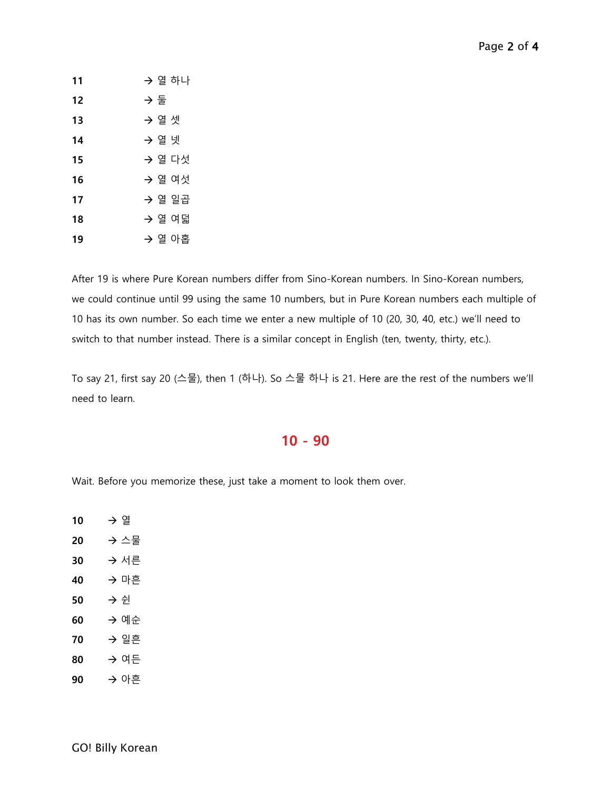| 11 | → 열 하나 |
|----|--------|
| 12 | → 둘    |
| 13 | → 열 셋  |
| 14 | → 열 넷  |
| 15 | → 열 다섯 |
| 16 | → 열 여섯 |
| 17 | → 열 일곱 |
| 18 | → 열 여덟 |
| 19 | → 열 아홉 |

After 19 is where Pure Korean numbers differ from Sino-Korean numbers. In Sino-Korean numbers, we could continue until 99 using the same 10 numbers, but in Pure Korean numbers each multiple of 10 has its own number. So each time we enter a new multiple of 10 (20, 30, 40, etc.) we'll need to switch to that number instead. There is a similar concept in English (ten, twenty, thirty, etc.).

To say 21, first say 20 (스물), then 1 (하나). So 스물 하나 is 21. Here are the rest of the numbers we'll need to learn.

## **- 90**

Wait. Before you memorize these, just take a moment to look them over.

| 10 | → 열 |      |
|----|-----|------|
| 20 |     | → 스물 |
| 30 |     | → 서른 |
| 40 |     | → 마흔 |
| 50 | → 쉰 |      |
| 60 |     | → 예순 |
| 70 |     | → 일흔 |
| 80 |     | → 여든 |
| 90 |     | → 아흔 |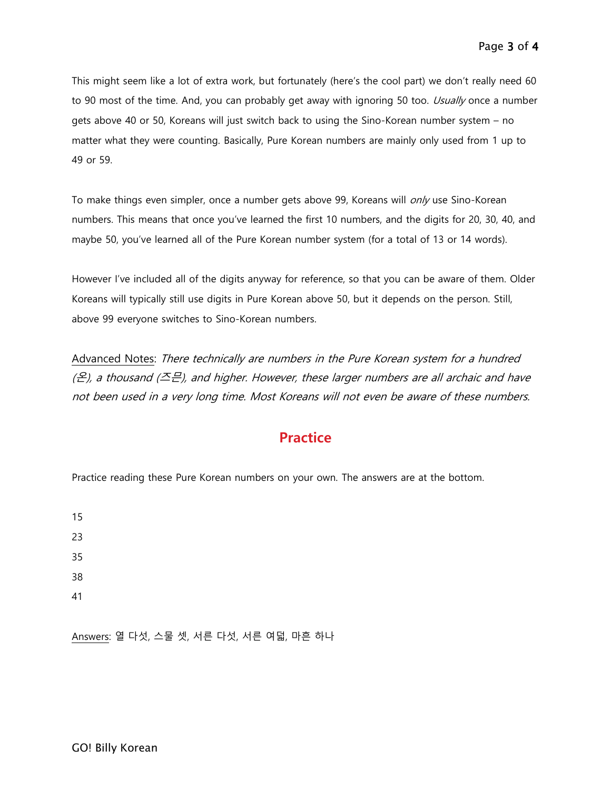This might seem like a lot of extra work, but fortunately (here's the cool part) we don't really need 60 to 90 most of the time. And, you can probably get away with ignoring 50 too. Usually once a number gets above 40 or 50, Koreans will just switch back to using the Sino-Korean number system – no matter what they were counting. Basically, Pure Korean numbers are mainly only used from 1 up to 49 or 59.

To make things even simpler, once a number gets above 99, Koreans will *only* use Sino-Korean numbers. This means that once you've learned the first 10 numbers, and the digits for 20, 30, 40, and maybe 50, you've learned all of the Pure Korean number system (for a total of 13 or 14 words).

However I've included all of the digits anyway for reference, so that you can be aware of them. Older Koreans will typically still use digits in Pure Korean above 50, but it depends on the person. Still, above 99 everyone switches to Sino-Korean numbers.

Advanced Notes: There technically are numbers in the Pure Korean system for a hundred  $(E)$ , a thousand ( $\leq E$ ), and higher. However, these larger numbers are all archaic and have not been used in a very long time. Most Koreans will not even be aware of these numbers.

## **Practice**

Practice reading these Pure Korean numbers on your own. The answers are at the bottom.

41

Answers: 열 다섯, 스물 셋, 서른 다섯, 서른 여덟, 마흔 하나